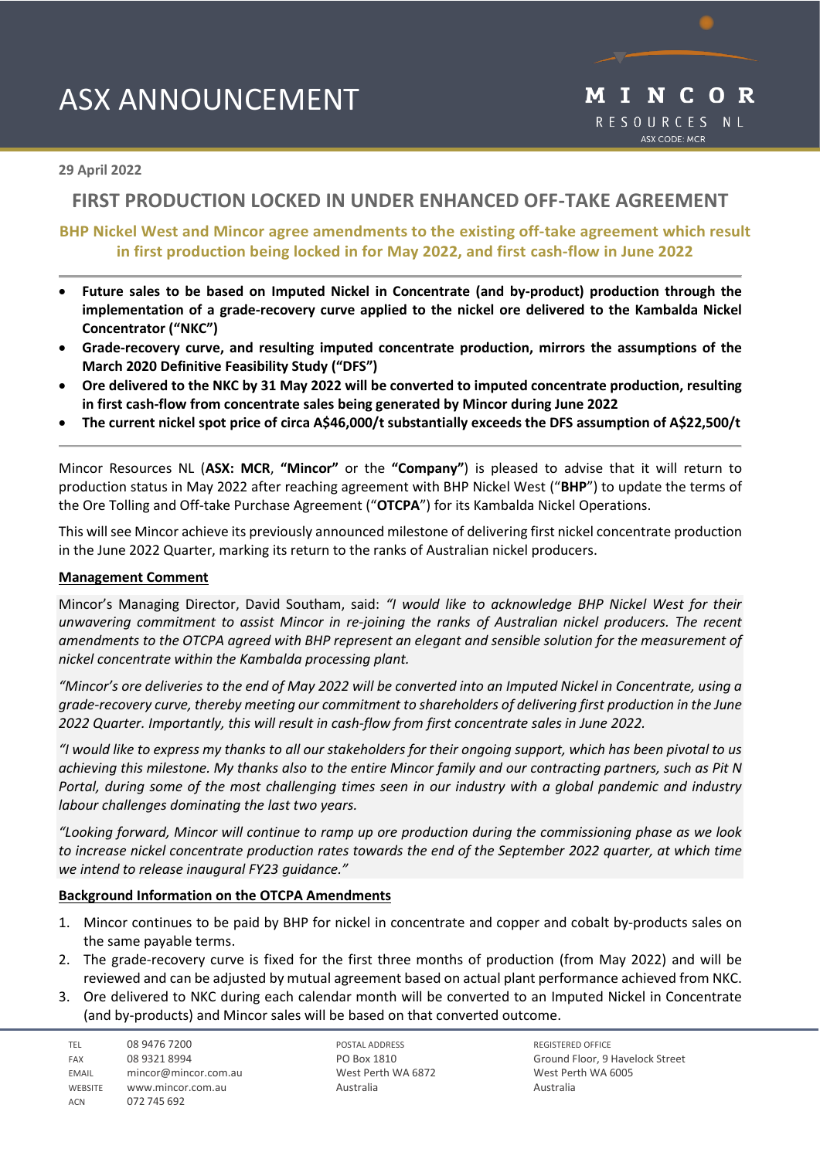# ASX ANNOUNCEMENT



## **29 April 2022**

## **FIRST PRODUCTION LOCKED IN UNDER ENHANCED OFF-TAKE AGREEMENT**

## **BHP Nickel West and Mincor agree amendments to the existing off-take agreement which result in first production being locked in for May 2022, and first cash-flow in June 2022**

- **Future sales to be based on Imputed Nickel in Concentrate (and by-product) production through the implementation of a grade-recovery curve applied to the nickel ore delivered to the Kambalda Nickel Concentrator ("NKC")**
- **Grade-recovery curve, and resulting imputed concentrate production, mirrors the assumptions of the March 2020 Definitive Feasibility Study ("DFS")**
- **Ore delivered to the NKC by 31 May 2022 will be converted to imputed concentrate production, resulting in first cash-flow from concentrate sales being generated by Mincor during June 2022**
- **The current nickel spot price of circa A\$46,000/t substantially exceeds the DFS assumption of A\$22,500/t**

Mincor Resources NL (**ASX: MCR**, **"Mincor"** or the **"Company"**) is pleased to advise that it will return to production status in May 2022 after reaching agreement with BHP Nickel West ("**BHP**") to update the terms of the Ore Tolling and Off-take Purchase Agreement ("**OTCPA**") for its Kambalda Nickel Operations.

This will see Mincor achieve its previously announced milestone of delivering first nickel concentrate production in the June 2022 Quarter, marking its return to the ranks of Australian nickel producers.

#### **Management Comment**

Mincor's Managing Director, David Southam, said: *"I would like to acknowledge BHP Nickel West for their unwavering commitment to assist Mincor in re-joining the ranks of Australian nickel producers. The recent amendments to the OTCPA agreed with BHP represent an elegant and sensible solution for the measurement of nickel concentrate within the Kambalda processing plant.*

*"Mincor's ore deliveries to the end of May 2022 will be converted into an Imputed Nickel in Concentrate, using a grade-recovery curve, thereby meeting our commitment to shareholders of delivering first production in the June 2022 Quarter. Importantly, this will result in cash-flow from first concentrate sales in June 2022.* 

*"I would like to express my thanks to all our stakeholders for their ongoing support, which has been pivotal to us achieving this milestone. My thanks also to the entire Mincor family and our contracting partners, such as Pit N Portal, during some of the most challenging times seen in our industry with a global pandemic and industry labour challenges dominating the last two years.*

*"Looking forward, Mincor will continue to ramp up ore production during the commissioning phase as we look to increase nickel concentrate production rates towards the end of the September 2022 quarter, at which time we intend to release inaugural FY23 guidance."*

#### **Background Information on the OTCPA Amendments**

- 1. Mincor continues to be paid by BHP for nickel in concentrate and copper and cobalt by-products sales on the same payable terms.
- 2. The grade-recovery curve is fixed for the first three months of production (from May 2022) and will be reviewed and can be adjusted by mutual agreement based on actual plant performance achieved from NKC.
- 3. Ore delivered to NKC during each calendar month will be converted to an Imputed Nickel in Concentrate (and by-products) and Mincor sales will be based on that converted outcome.

TEL 08 9476 7200 FAX 08 9321 8994 EMAIL mincor@mincor.com.au WEBSITE www.mincor.com.au ACN 072 745 692

POSTAL ADDRESS PO Box 1810 West Perth WA 6872 Australia

REGISTERED OFFICE Ground Floor, 9 Havelock Street West Perth WA 6005 Australia